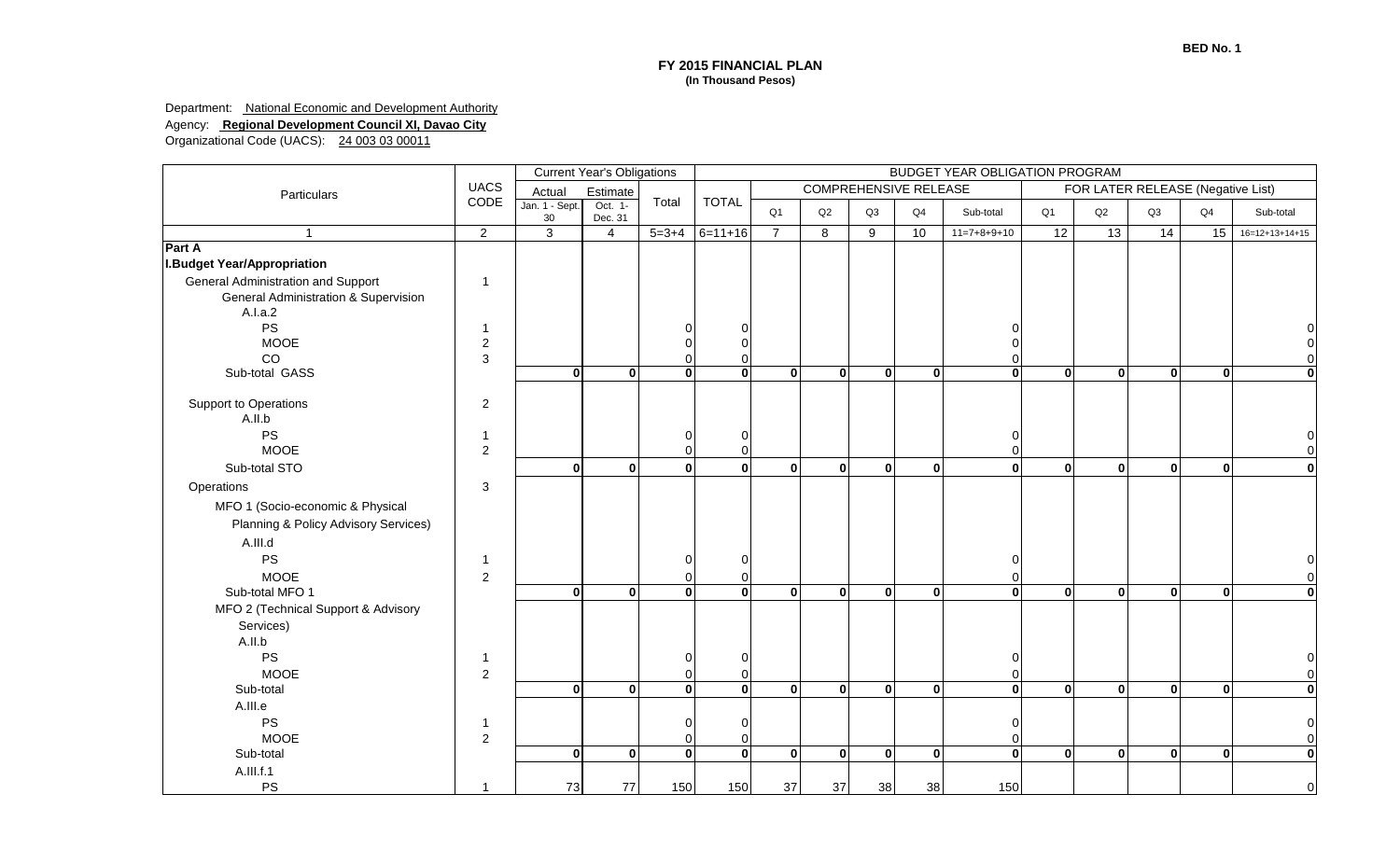Department: **National Economic and Development Authority** 

Agency: **Regional Development Council XI, Davao City**

|                                           | <b>Current Year's Obligations</b><br>BUDGET YEAR OBLIGATION PROGRAM |                          |                    |              |              |                                                                   |                         |              |              |                            |                |              |              |                |                  |  |
|-------------------------------------------|---------------------------------------------------------------------|--------------------------|--------------------|--------------|--------------|-------------------------------------------------------------------|-------------------------|--------------|--------------|----------------------------|----------------|--------------|--------------|----------------|------------------|--|
| Particulars                               | <b>UACS</b>                                                         | Actual                   | Estimate           | Total        |              | <b>COMPREHENSIVE RELEASE</b><br>FOR LATER RELEASE (Negative List) |                         |              |              |                            |                |              |              |                |                  |  |
|                                           | CODE                                                                | Jan. 1 - Sept.<br>$30\,$ | Oct. 1-<br>Dec. 31 |              | <b>TOTAL</b> | Q <sub>1</sub>                                                    | Q2                      | Q3           | Q4           | Sub-total                  | Q <sub>1</sub> | Q2           | Q3           | Q <sub>4</sub> | Sub-total        |  |
| $\overline{1}$                            | $\overline{2}$                                                      | $\overline{3}$           | $\overline{4}$     | $5 = 3 + 4$  | $6=11+16$    | $\overline{7}$                                                    | 8                       | 9            | 10           | $11=7+8+9+10$              | 12             | 13           | 14           | 15             | $16=12+13+14+15$ |  |
| Part A                                    |                                                                     |                          |                    |              |              |                                                                   |                         |              |              |                            |                |              |              |                |                  |  |
| <b>I.Budget Year/Appropriation</b>        |                                                                     |                          |                    |              |              |                                                                   |                         |              |              |                            |                |              |              |                |                  |  |
| <b>General Administration and Support</b> |                                                                     |                          |                    |              |              |                                                                   |                         |              |              |                            |                |              |              |                |                  |  |
| General Administration & Supervision      |                                                                     |                          |                    |              |              |                                                                   |                         |              |              |                            |                |              |              |                |                  |  |
| A.I.a.2                                   |                                                                     |                          |                    |              |              |                                                                   |                         |              |              |                            |                |              |              |                |                  |  |
| <b>PS</b>                                 |                                                                     |                          |                    |              |              |                                                                   |                         |              |              |                            |                |              |              |                |                  |  |
| <b>MOOE</b>                               | $\overline{c}$                                                      |                          |                    |              |              |                                                                   |                         |              |              | $\Omega$                   |                |              |              |                |                  |  |
| CO                                        | 3                                                                   |                          | $\mathbf{0}$       | $\mathbf{0}$ | $\mathbf 0$  |                                                                   | $\overline{\mathbf{0}}$ | $\mathbf{0}$ |              | $\Omega$<br>$\overline{0}$ |                | $\mathbf{0}$ | $\mathbf{0}$ | $\mathbf{0}$   |                  |  |
| Sub-total GASS                            |                                                                     | $\mathbf{0}$             |                    |              |              | $\mathbf{0}$                                                      |                         |              | $\mathbf{0}$ |                            | $\mathbf{0}$   |              |              |                |                  |  |
| Support to Operations                     | 2                                                                   |                          |                    |              |              |                                                                   |                         |              |              |                            |                |              |              |                |                  |  |
| A.II.b                                    |                                                                     |                          |                    |              |              |                                                                   |                         |              |              |                            |                |              |              |                |                  |  |
| PS                                        |                                                                     |                          |                    |              | $\Omega$     |                                                                   |                         |              |              | 0                          |                |              |              |                |                  |  |
| <b>MOOE</b>                               | 2                                                                   |                          |                    | n            |              |                                                                   |                         |              |              | $\Omega$                   |                |              |              |                |                  |  |
| Sub-total STO                             |                                                                     | $\mathbf{0}$             | $\mathbf{0}$       | $\Omega$     | $\bf{0}$     | $\mathbf{0}$                                                      | $\mathbf{0}$            | $\Omega$     | $\mathbf{0}$ | $\mathbf{0}$               | $\mathbf{0}$   | $\mathbf{0}$ | $\mathbf{0}$ | $\mathbf{0}$   | $\bf{0}$         |  |
| Operations                                | 3                                                                   |                          |                    |              |              |                                                                   |                         |              |              |                            |                |              |              |                |                  |  |
|                                           |                                                                     |                          |                    |              |              |                                                                   |                         |              |              |                            |                |              |              |                |                  |  |
| MFO 1 (Socio-economic & Physical          |                                                                     |                          |                    |              |              |                                                                   |                         |              |              |                            |                |              |              |                |                  |  |
| Planning & Policy Advisory Services)      |                                                                     |                          |                    |              |              |                                                                   |                         |              |              |                            |                |              |              |                |                  |  |
| A.III.d                                   |                                                                     |                          |                    |              |              |                                                                   |                         |              |              |                            |                |              |              |                |                  |  |
| <b>PS</b>                                 |                                                                     |                          |                    |              | $\Omega$     |                                                                   |                         |              |              | $\overline{0}$             |                |              |              |                |                  |  |
| <b>MOOE</b>                               | $\overline{2}$                                                      |                          |                    |              |              |                                                                   |                         |              |              | $\Omega$                   |                |              |              |                | $\Omega$         |  |
| Sub-total MFO 1                           |                                                                     | $\mathbf{0}$             | 0                  | $\mathbf{0}$ | $\bf{0}$     | $\mathbf{0}$                                                      | $\mathbf{0}$            | $\Omega$     | $\mathbf{0}$ | $\mathbf{0}$               | $\mathbf{0}$   | $\mathbf{0}$ | $\mathbf{0}$ | $\mathbf{0}$   | $\bf{0}$         |  |
| MFO 2 (Technical Support & Advisory       |                                                                     |                          |                    |              |              |                                                                   |                         |              |              |                            |                |              |              |                |                  |  |
| Services)                                 |                                                                     |                          |                    |              |              |                                                                   |                         |              |              |                            |                |              |              |                |                  |  |
| A.II.b                                    |                                                                     |                          |                    |              |              |                                                                   |                         |              |              |                            |                |              |              |                |                  |  |
| <b>PS</b>                                 |                                                                     |                          |                    |              |              |                                                                   |                         |              |              | $\overline{0}$             |                |              |              |                |                  |  |
| <b>MOOE</b>                               | 2                                                                   |                          |                    |              |              |                                                                   |                         |              |              | $\Omega$                   |                |              |              |                |                  |  |
| Sub-total                                 |                                                                     | $\mathbf{0}$             | 0                  | $\mathbf{0}$ | $\mathbf 0$  | $\mathbf 0$                                                       | $\mathbf{0}$            | $\mathbf{0}$ | $\mathbf{0}$ | $\overline{0}$             | $\mathbf{0}$   | $\mathbf{0}$ | $\mathbf{0}$ | $\mathbf{0}$   | $\bf{0}$         |  |
| A.III.e                                   |                                                                     |                          |                    |              |              |                                                                   |                         |              |              |                            |                |              |              |                |                  |  |
| PS                                        |                                                                     |                          |                    |              |              |                                                                   |                         |              |              | $\Omega$                   |                |              |              |                |                  |  |
| <b>MOOE</b>                               | 2                                                                   |                          |                    |              |              |                                                                   |                         |              |              | 0                          |                |              |              |                |                  |  |
| Sub-total                                 |                                                                     | $\mathbf{0}$             | 0                  | $\mathbf{0}$ | $\mathbf 0$  | $\mathbf{0}$                                                      | $\mathbf{0}$            | $\mathbf{0}$ | $\mathbf{0}$ | $\mathbf{0}$               | $\mathbf{0}$   | $\mathbf{0}$ | $\mathbf{0}$ | $\mathbf{0}$   | $\mathbf 0$      |  |
| A.III.f.1                                 |                                                                     |                          |                    |              |              |                                                                   |                         |              |              |                            |                |              |              |                |                  |  |
| <b>PS</b>                                 |                                                                     | 73                       | 77                 | 150          | 150          | 37                                                                | 37                      | 38           | 38           | 150                        |                |              |              |                | $\Omega$         |  |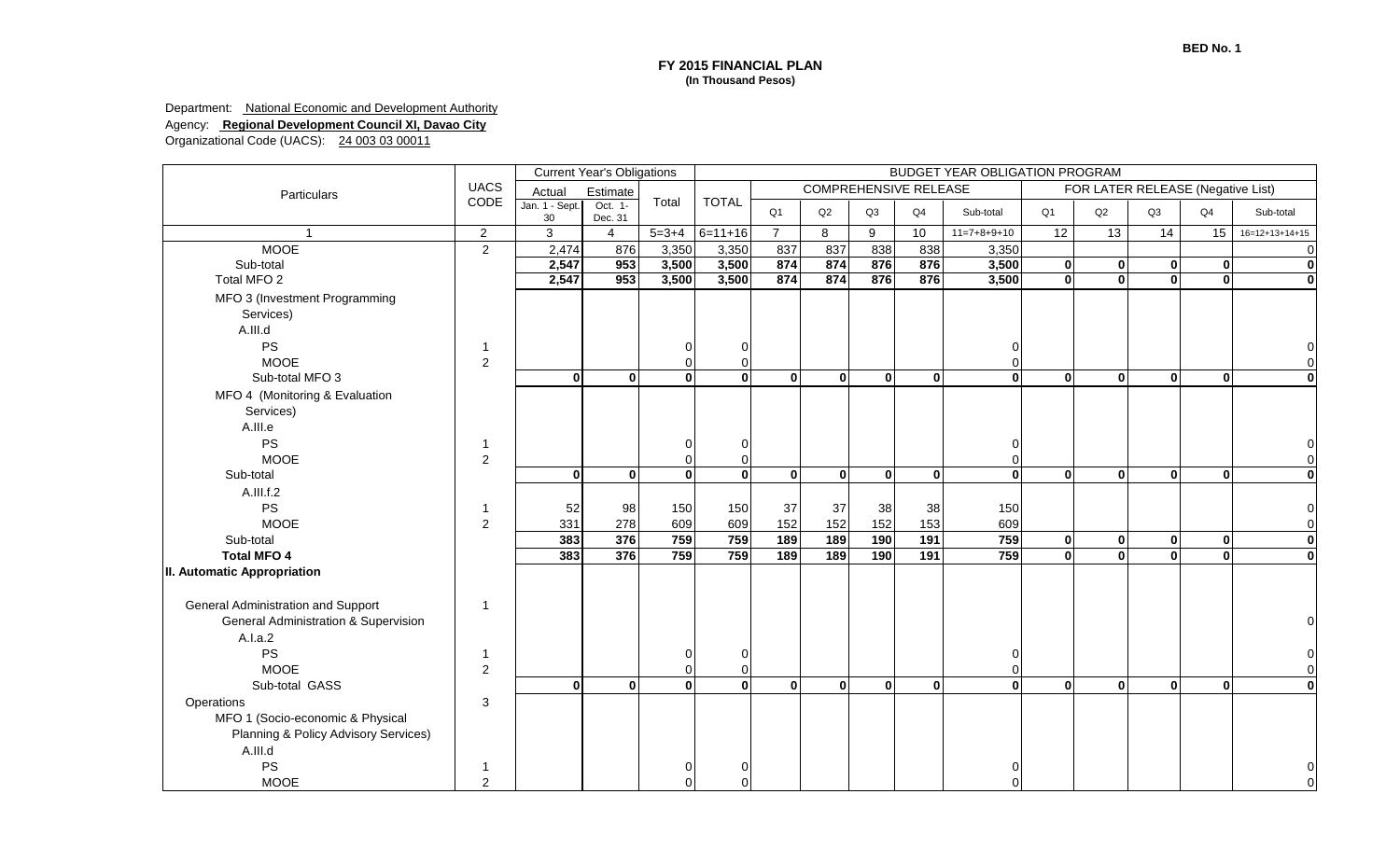Department: **National Economic and Development Authority** 

Agency: **Regional Development Council XI, Davao City**

|                                           |                |                          | <b>Current Year's Obligations</b> |              |              |                |              |              |                              | BUDGET YEAR OBLIGATION PROGRAM |                |                                   |                 |                |                         |
|-------------------------------------------|----------------|--------------------------|-----------------------------------|--------------|--------------|----------------|--------------|--------------|------------------------------|--------------------------------|----------------|-----------------------------------|-----------------|----------------|-------------------------|
| Particulars                               | <b>UACS</b>    | Actual                   | Estimate                          |              |              |                |              |              | <b>COMPREHENSIVE RELEASE</b> |                                |                | FOR LATER RELEASE (Negative List) |                 |                |                         |
|                                           | CODE           | Jan. 1 - Sept.<br>$30\,$ | Oct. 1-<br>Dec. 31                | Total        | <b>TOTAL</b> | Q <sub>1</sub> | Q2           | Q3           | Q4                           | Sub-total                      | Q <sub>1</sub> | Q2                                | Q3              | Q <sub>4</sub> | Sub-total               |
|                                           | $\overline{2}$ | 3                        | $\overline{4}$                    | $5 = 3 + 4$  | $6=11+16$    | $\overline{7}$ | 8            | 9            | 10                           | $11=7+8+9+10$                  | 12             | 13                                | $\overline{14}$ | 15             | $16=12+13+14+15$        |
| <b>MOOE</b>                               | $\overline{2}$ | 2,474                    | 876                               | 3,350        | 3,350        | 837            | 837          | 838          | 838                          | 3,350                          |                |                                   |                 |                |                         |
| Sub-total                                 |                | 2,547                    | 953                               | 3,500        | 3,500        | 874            | 874          | 876          | 876                          | 3,500                          | $\bf{0}$       | $\mathbf{0}$                      | $\mathbf{0}$    | $\bf{0}$       | $\mathbf 0$             |
| Total MFO 2                               |                | 2,547                    | 953                               | 3,500        | 3,500        | 874            | 874          | 876          | 876                          | 3,500                          | $\overline{0}$ | $\overline{0}$                    | ΩI              | $\mathbf{0}$   | $\overline{0}$          |
| MFO 3 (Investment Programming             |                |                          |                                   |              |              |                |              |              |                              |                                |                |                                   |                 |                |                         |
| Services)                                 |                |                          |                                   |              |              |                |              |              |                              |                                |                |                                   |                 |                |                         |
| A.III.d                                   |                |                          |                                   |              |              |                |              |              |                              |                                |                |                                   |                 |                |                         |
| <b>PS</b>                                 |                |                          |                                   |              |              |                |              |              |                              |                                |                |                                   |                 |                |                         |
| <b>MOOE</b>                               | 2              |                          |                                   |              |              |                |              |              |                              | $\Omega$                       |                |                                   |                 |                |                         |
| Sub-total MFO 3                           |                | $\mathbf{0}$             | $\bf{0}$                          | $\Omega$     | $\bf{0}$     | $\mathbf{0}$   | $\mathbf{0}$ | $\mathbf{0}$ | $\Omega$                     | $\Omega$                       | $\mathbf{0}$   | $\mathbf{0}$                      | $\mathbf{0}$    | $\mathbf{0}$   | $\mathbf{0}$            |
| MFO 4 (Monitoring & Evaluation            |                |                          |                                   |              |              |                |              |              |                              |                                |                |                                   |                 |                |                         |
| Services)                                 |                |                          |                                   |              |              |                |              |              |                              |                                |                |                                   |                 |                |                         |
| A.III.e                                   |                |                          |                                   |              |              |                |              |              |                              |                                |                |                                   |                 |                |                         |
| PS                                        |                |                          |                                   |              |              |                |              |              |                              |                                |                |                                   |                 |                |                         |
| <b>MOOE</b>                               | $\overline{2}$ |                          |                                   |              |              |                |              |              |                              | 0                              |                |                                   |                 |                |                         |
| Sub-total                                 |                | $\bf{0}$                 | $\mathbf{0}$                      | $\mathbf{0}$ | $\mathbf 0$  | $\mathbf{0}$   | $\mathbf{0}$ | $\mathbf{0}$ | $\mathbf{0}$                 | $\mathbf{0}$                   | $\mathbf{0}$   | $\mathbf{0}$                      | $\mathbf{0}$    | $\mathbf{0}$   | $\mathbf{0}$            |
| A.III.f.2                                 |                |                          |                                   |              |              |                |              |              |                              |                                |                |                                   |                 |                |                         |
| PS                                        |                | 52                       | 98                                | 150          | 150          | 37             | 37           | 38           | 38                           | 150                            |                |                                   |                 |                |                         |
| <b>MOOE</b>                               | 2              | 331                      | 278                               | 609          | 609          | 152            | 152          | 152          | 153                          | 609                            |                |                                   |                 |                |                         |
| Sub-total                                 |                | 383                      | 376                               | 759          | 759          | 189            | 189          | 190          | 191                          | 759                            | $\mathbf{0}$   | $\mathbf{0}$                      | $\mathbf{0}$    | $\mathbf 0$    | $\bf{0}$                |
| <b>Total MFO 4</b>                        |                | 383                      | 376                               | 759          | 759          | 189            | 189          | 190          | 191                          | 759                            | $\mathbf 0$    | $\mathbf{0}$                      | 0               | $\mathbf{0}$   | $\overline{\mathbf{0}}$ |
| II. Automatic Appropriation               |                |                          |                                   |              |              |                |              |              |                              |                                |                |                                   |                 |                |                         |
| <b>General Administration and Support</b> | -1             |                          |                                   |              |              |                |              |              |                              |                                |                |                                   |                 |                |                         |
| General Administration & Supervision      |                |                          |                                   |              |              |                |              |              |                              |                                |                |                                   |                 |                |                         |
| A.I.a.2                                   |                |                          |                                   |              |              |                |              |              |                              |                                |                |                                   |                 |                |                         |
| PS                                        |                |                          |                                   |              |              |                |              |              |                              |                                |                |                                   |                 |                |                         |
| <b>MOOE</b>                               | $\overline{2}$ |                          |                                   |              |              |                |              |              |                              |                                |                |                                   |                 |                |                         |
| Sub-total GASS                            |                | $\mathbf{0}$             | $\mathbf{0}$                      | $\mathbf{0}$ | $\mathbf 0$  | $\mathbf{0}$   | $\mathbf{0}$ | $\mathbf{0}$ | $\mathbf{0}$                 | $\mathbf{0}$                   | $\mathbf{0}$   | $\mathbf{0}$                      | $\mathbf{0}$    | $\mathbf 0$    | $\mathbf 0$             |
| Operations                                | 3              |                          |                                   |              |              |                |              |              |                              |                                |                |                                   |                 |                |                         |
| MFO 1 (Socio-economic & Physical          |                |                          |                                   |              |              |                |              |              |                              |                                |                |                                   |                 |                |                         |
| Planning & Policy Advisory Services)      |                |                          |                                   |              |              |                |              |              |                              |                                |                |                                   |                 |                |                         |
| A.III.d                                   |                |                          |                                   |              |              |                |              |              |                              |                                |                |                                   |                 |                |                         |
| PS                                        |                |                          |                                   |              |              |                |              |              |                              |                                |                |                                   |                 |                |                         |
| <b>MOOE</b>                               | $\overline{2}$ |                          |                                   |              |              |                |              |              |                              | U                              |                |                                   |                 |                |                         |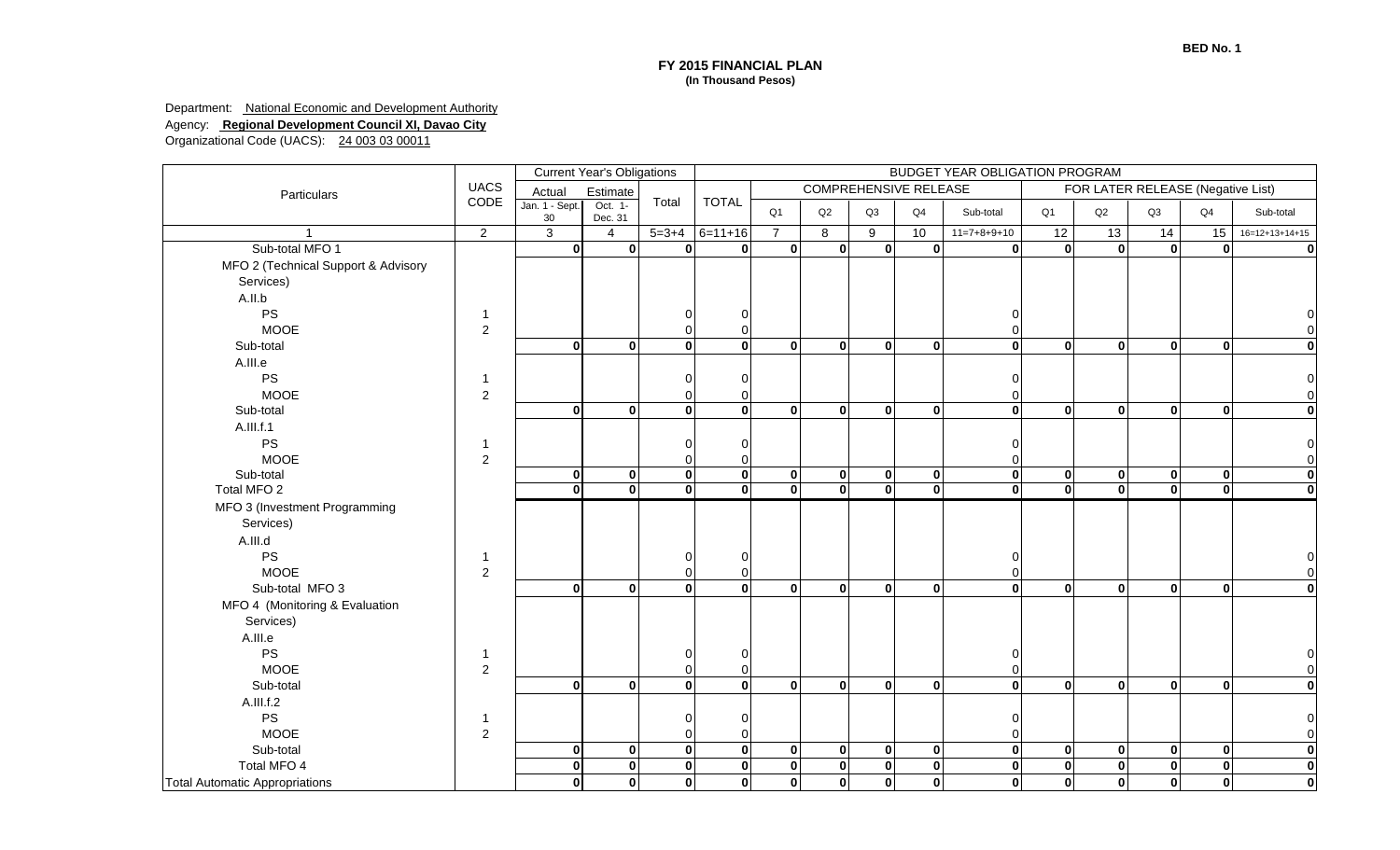Department: **National Economic and Development Authority** Agency: **Regional Development Council XI, Davao City**

|                                       |                |                      | <b>Current Year's Obligations</b> |              |              | <b>BUDGET YEAR OBLIGATION PROGRAM</b> |                                                                   |              |                |               |                         |              |              |                |                  |  |
|---------------------------------------|----------------|----------------------|-----------------------------------|--------------|--------------|---------------------------------------|-------------------------------------------------------------------|--------------|----------------|---------------|-------------------------|--------------|--------------|----------------|------------------|--|
| Particulars                           | <b>UACS</b>    | Actual               | Estimate                          |              |              |                                       | <b>COMPREHENSIVE RELEASE</b><br>FOR LATER RELEASE (Negative List) |              |                |               |                         |              |              |                |                  |  |
|                                       | CODE           | Jan. 1 - Sept.<br>30 | Oct. 1-<br>Dec. 31                | Total        | <b>TOTAL</b> | Q <sub>1</sub>                        | Q2                                                                | Q3           | Q <sub>4</sub> | Sub-total     | Q1                      | Q2           | Q3           | Q <sub>4</sub> | Sub-total        |  |
|                                       | $\overline{2}$ | $\overline{3}$       | $\overline{4}$                    | $5 = 3 + 4$  | $6=11+16$    | $\overline{7}$                        | 8                                                                 | 9            | 10             | $11=7+8+9+10$ | 12                      | 13           | 14           | 15             | $16=12+13+14+15$ |  |
| Sub-total MFO 1                       |                | $\mathbf{0}$         | $\mathbf{0}$                      | $\mathbf{0}$ | $\bf{0}$     | $\mathbf{0}$                          | $\mathbf{0}$                                                      | $\mathbf{0}$ | 0              | $\mathbf{0}$  | $\mathbf{0}$            | $\mathbf{0}$ | $\mathbf{0}$ | 0              |                  |  |
| MFO 2 (Technical Support & Advisory   |                |                      |                                   |              |              |                                       |                                                                   |              |                |               |                         |              |              |                |                  |  |
| Services)                             |                |                      |                                   |              |              |                                       |                                                                   |              |                |               |                         |              |              |                |                  |  |
| A.II.b                                |                |                      |                                   |              |              |                                       |                                                                   |              |                |               |                         |              |              |                |                  |  |
| PS                                    | $\mathbf 1$    |                      |                                   |              | 0            |                                       |                                                                   |              |                | 0             |                         |              |              |                |                  |  |
| <b>MOOE</b>                           | $\overline{2}$ |                      |                                   |              |              |                                       |                                                                   |              |                | $\mathbf 0$   |                         |              |              |                |                  |  |
| Sub-total                             |                | $\Omega$             | $\mathbf{0}$                      | 0            | $\Omega$     | 0                                     | $\mathbf{0}$                                                      | $\mathbf{0}$ | $\mathbf{0}$   | $\mathbf{0}$  | $\mathbf{0}$            | $\mathbf{0}$ | $\mathbf{0}$ | $\Omega$       |                  |  |
| A.III.e                               |                |                      |                                   |              |              |                                       |                                                                   |              |                |               |                         |              |              |                |                  |  |
| <b>PS</b>                             | $\mathbf 1$    |                      |                                   |              |              |                                       |                                                                   |              |                | 0             |                         |              |              |                |                  |  |
| <b>MOOE</b>                           | 2              |                      |                                   | U            | O            |                                       |                                                                   |              |                | $\Omega$      |                         |              |              |                |                  |  |
| Sub-total                             |                | - O                  | $\mathbf{0}$                      | $\mathbf{0}$ | $\mathbf{0}$ | 0                                     | $\mathbf{0}$                                                      | $\mathbf{0}$ | $\mathbf{0}$   | $\mathbf{0}$  | $\mathbf{0}$            | $\mathbf{0}$ | $\mathbf{0}$ | $\Omega$       | $\Omega$         |  |
| A.III.f.1                             |                |                      |                                   |              |              |                                       |                                                                   |              |                |               |                         |              |              |                |                  |  |
| PS                                    | $\mathbf 1$    |                      |                                   |              |              |                                       |                                                                   |              |                |               |                         |              |              |                |                  |  |
| <b>MOOE</b>                           | $\overline{2}$ |                      |                                   |              |              |                                       |                                                                   |              |                | $\Omega$      |                         |              |              |                |                  |  |
| Sub-total                             |                | 0                    | $\mathbf{0}$                      | $\mathbf{0}$ | $\bf{0}$     | $\mathbf{0}$                          | $\mathbf{0}$                                                      | $\mathbf{0}$ | 0              | 0             | $\mathbf{0}$            | $\mathbf{0}$ | 0            | 0              | $\bf{0}$         |  |
| Total MFO 2                           |                | $\mathbf{0}$         | $\mathbf{0}$                      | $\mathbf{0}$ | $\bf{0}$     | $\mathbf{0}$                          | $\mathbf{0}$                                                      | $\mathbf{0}$ | $\mathbf{0}$   | $\bf{0}$      | $\mathbf{0}$            | $\mathbf{0}$ | $\mathbf{0}$ | $\bf{0}$       |                  |  |
| MFO 3 (Investment Programming         |                |                      |                                   |              |              |                                       |                                                                   |              |                |               |                         |              |              |                |                  |  |
| Services)                             |                |                      |                                   |              |              |                                       |                                                                   |              |                |               |                         |              |              |                |                  |  |
| A.III.d                               |                |                      |                                   |              |              |                                       |                                                                   |              |                |               |                         |              |              |                |                  |  |
| PS                                    | $\mathbf{1}$   |                      |                                   |              | O            |                                       |                                                                   |              |                | 0             |                         |              |              |                |                  |  |
| <b>MOOE</b>                           | 2              |                      |                                   |              |              |                                       |                                                                   |              |                | 0             |                         |              |              |                |                  |  |
| Sub-total MFO 3                       |                | $\mathbf{0}$         | $\mathbf{0}$                      | 0            | $\Omega$     | $\mathbf{0}$                          | $\mathbf{0}$                                                      | $\mathbf{0}$ | $\mathbf{0}$   | $\mathbf{0}$  | $\mathbf{0}$            | $\bf{0}$     | $\mathbf{0}$ | $\mathbf{0}$   | $\Omega$         |  |
| MFO 4 (Monitoring & Evaluation        |                |                      |                                   |              |              |                                       |                                                                   |              |                |               |                         |              |              |                |                  |  |
| Services)                             |                |                      |                                   |              |              |                                       |                                                                   |              |                |               |                         |              |              |                |                  |  |
| A.III.e                               |                |                      |                                   |              |              |                                       |                                                                   |              |                |               |                         |              |              |                |                  |  |
| PS                                    | $\mathbf 1$    |                      |                                   |              | ∩            |                                       |                                                                   |              |                | $\Omega$      |                         |              |              |                |                  |  |
| <b>MOOE</b>                           | $\overline{2}$ |                      |                                   |              |              |                                       |                                                                   |              |                | $\Omega$      |                         |              |              |                |                  |  |
| Sub-total                             |                | $\mathbf{0}$         | $\mathbf{0}$                      | 0            | $\mathbf 0$  | $\mathbf{0}$                          | $\mathbf{0}$                                                      | $\mathbf{0}$ | $\mathbf{0}$   | $\mathbf{0}$  | $\mathbf{0}$            | $\mathbf{0}$ | $\mathbf{0}$ | $\mathbf{0}$   | $\Omega$         |  |
| A.III.f.2                             |                |                      |                                   |              |              |                                       |                                                                   |              |                |               |                         |              |              |                |                  |  |
| PS                                    |                |                      |                                   |              |              |                                       |                                                                   |              |                | ∩             |                         |              |              |                |                  |  |
| <b>MOOE</b>                           | $\overline{2}$ |                      |                                   |              |              |                                       |                                                                   |              |                | O             |                         |              |              |                |                  |  |
| Sub-total                             |                | 0                    | $\mathbf{0}$                      | $\mathbf{0}$ | $\mathbf 0$  | $\mathbf{0}$                          | $\mathbf{0}$                                                      | $\mathbf{0}$ | 0              | $\mathbf{0}$  | 0                       | $\mathbf{0}$ | 0            | 0              | $\Omega$         |  |
| Total MFO 4                           |                | $\mathbf{0}$         | $\overline{\mathbf{0}}$           | $\mathbf{0}$ | $\mathbf 0$  | $\mathbf{0}$                          | $\mathbf{0}$                                                      | $\mathbf{0}$ | $\mathbf{0}$   | $\mathbf{0}$  | $\overline{\mathbf{o}}$ | $\mathbf{0}$ | $\mathbf{0}$ | 0              | $\bf{0}$         |  |
| <b>Total Automatic Appropriations</b> |                | $\mathbf{0}$         | $\mathbf{0}$                      | $\mathbf{0}$ | $\mathbf 0$  | $\mathbf{0}$                          | $\mathbf{0}$                                                      | $\mathbf{0}$ | $\mathbf{0}$   | $\mathbf{0}$  | $\mathbf{0}$            | $\mathbf{0}$ | $\mathbf{0}$ | $\mathbf{0}$   | $\Omega$         |  |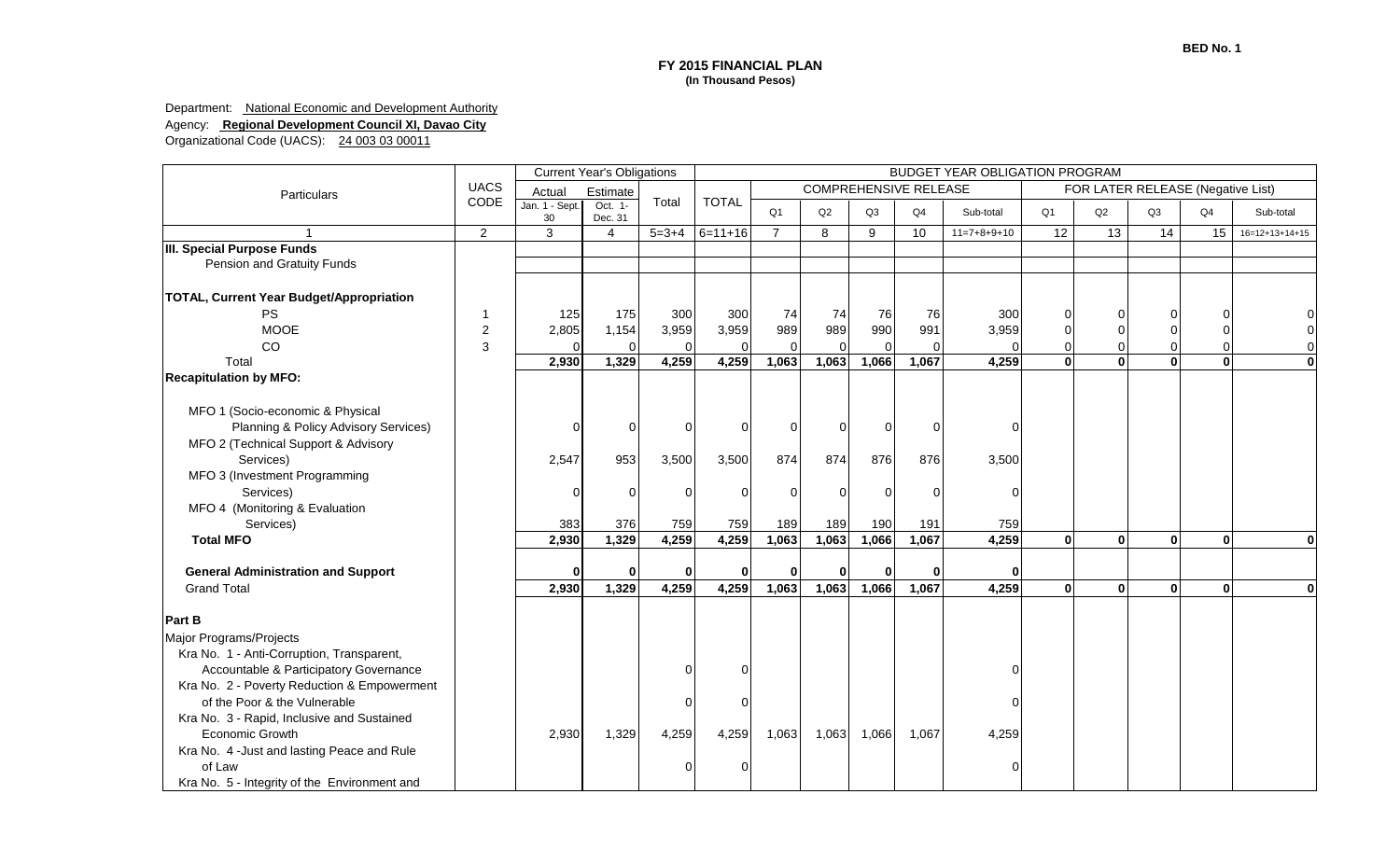Department: **National Economic and Development Authority** 

Agency: **Regional Development Council XI, Davao City**

|                                                 |                | <b>Current Year's Obligations</b> |                    |                | BUDGET YEAR OBLIGATION PROGRAM |                |          |          |                              |               |              |                                   |                |              |                  |
|-------------------------------------------------|----------------|-----------------------------------|--------------------|----------------|--------------------------------|----------------|----------|----------|------------------------------|---------------|--------------|-----------------------------------|----------------|--------------|------------------|
| Particulars                                     | <b>UACS</b>    | Actual                            | Estimate           |                |                                |                |          |          | <b>COMPREHENSIVE RELEASE</b> |               |              | FOR LATER RELEASE (Negative List) |                |              |                  |
|                                                 | CODE           | Jan. 1 - Sept.<br>30              | Oct. 1-<br>Dec. 31 | Total          | <b>TOTAL</b>                   | Q <sub>1</sub> | Q2       | Q3       | Q4                           | Sub-total     | Q1           | Q2                                | Q <sub>3</sub> | Q4           | Sub-total        |
|                                                 | $\overline{2}$ | 3                                 | $\overline{4}$     | $5 = 3 + 4$    | $6 = 11 + 16$                  | $\overline{7}$ | 8        | 9        | 10                           | $11=7+8+9+10$ | 12           | 13                                | 14             | 15           | $16=12+13+14+15$ |
| <b>III. Special Purpose Funds</b>               |                |                                   |                    |                |                                |                |          |          |                              |               |              |                                   |                |              |                  |
| Pension and Gratuity Funds                      |                |                                   |                    |                |                                |                |          |          |                              |               |              |                                   |                |              |                  |
| <b>TOTAL, Current Year Budget/Appropriation</b> |                |                                   |                    |                |                                |                |          |          |                              |               |              |                                   |                |              |                  |
| <b>PS</b>                                       |                | 125                               | 175                | 300            | 300                            | 74             | 74       | 76       | 76                           | 300           |              |                                   |                | $\Omega$     |                  |
| <b>MOOE</b>                                     | 2              | 2,805                             | 1,154              | 3,959          | 3,959                          | 989            | 989      | 990      | 991                          | 3,959         |              |                                   |                | $\Omega$     |                  |
| CO                                              | 3              | $\Omega$                          | $\Omega$           | $\Omega$       | $\Omega$                       |                |          | $\Omega$ | $\Omega$                     |               | O            | 0                                 |                | $\Omega$     |                  |
| Total                                           |                | 2,930                             | 1,329              | 4,259          | 4,259                          | 1,063          | 1,063    | 1,066    | 1,067                        | 4,259         | $\mathbf{0}$ | $\mathbf{0}$                      |                | $\mathbf{0}$ | $\Omega$         |
| <b>Recapitulation by MFO:</b>                   |                |                                   |                    |                |                                |                |          |          |                              |               |              |                                   |                |              |                  |
| MFO 1 (Socio-economic & Physical                |                |                                   |                    |                |                                |                |          |          |                              |               |              |                                   |                |              |                  |
| Planning & Policy Advisory Services)            |                | $\overline{0}$                    | $\overline{0}$     | $\overline{0}$ | $\overline{0}$                 | $\Omega$       | $\Omega$ | $\Omega$ | 0                            |               |              |                                   |                |              |                  |
| MFO 2 (Technical Support & Advisory             |                |                                   |                    |                |                                |                |          |          |                              |               |              |                                   |                |              |                  |
| Services)                                       |                | 2,547                             | 953                | 3,500          | 3,500                          | 874            | 874      | 876      | 876                          | 3,500         |              |                                   |                |              |                  |
| MFO 3 (Investment Programming                   |                |                                   |                    |                |                                |                |          |          |                              |               |              |                                   |                |              |                  |
| Services)                                       |                | 0                                 | $\overline{0}$     | $\overline{0}$ | $\overline{0}$                 | 0              | $\Omega$ | $\Omega$ | $\Omega$                     |               |              |                                   |                |              |                  |
| MFO 4 (Monitoring & Evaluation                  |                |                                   |                    |                |                                |                |          |          |                              |               |              |                                   |                |              |                  |
| Services)                                       |                | 383                               | 376                | 759            | 759                            | 189            | 189      | 190      | 191                          | 759           |              |                                   |                |              |                  |
| <b>Total MFO</b>                                |                | 2,930                             | 1,329              | 4,259          | 4,259                          | 1,063          | 1,063    | 1,066    | 1,067                        | 4,259         | $\mathbf{0}$ | $\mathbf{0}$                      | $\mathbf{0}$   | $\mathbf{0}$ | $\mathbf{0}$     |
| <b>General Administration and Support</b>       |                | $\Omega$                          | $\mathbf{0}$       | $\Omega$       | $\mathbf{0}$                   |                | U        | $\Omega$ | $\bf{0}$                     | O             |              |                                   |                |              |                  |
| <b>Grand Total</b>                              |                | 2,930                             | 1,329              | 4,259          | 4,259                          | 1,063          | 1,063    | 1,066    | 1,067                        | 4,259         | $\mathbf{0}$ | $\mathbf{0}$                      | $\mathbf{0}$   | $\mathbf{0}$ | $\mathbf{0}$     |
|                                                 |                |                                   |                    |                |                                |                |          |          |                              |               |              |                                   |                |              |                  |
| <b>Part B</b>                                   |                |                                   |                    |                |                                |                |          |          |                              |               |              |                                   |                |              |                  |
| Major Programs/Projects                         |                |                                   |                    |                |                                |                |          |          |                              |               |              |                                   |                |              |                  |
| Kra No. 1 - Anti-Corruption, Transparent,       |                |                                   |                    |                |                                |                |          |          |                              |               |              |                                   |                |              |                  |
| Accountable & Participatory Governance          |                |                                   |                    | $\Omega$       | $\Omega$                       |                |          |          |                              |               |              |                                   |                |              |                  |
| Kra No. 2 - Poverty Reduction & Empowerment     |                |                                   |                    |                |                                |                |          |          |                              |               |              |                                   |                |              |                  |
| of the Poor & the Vulnerable                    |                |                                   |                    | $\Omega$       | $\Omega$                       |                |          |          |                              |               |              |                                   |                |              |                  |
| Kra No. 3 - Rapid, Inclusive and Sustained      |                |                                   |                    |                |                                |                |          |          |                              |               |              |                                   |                |              |                  |
| Economic Growth                                 |                | 2,930                             | 1,329              | 4,259          | 4,259                          | 1,063          | 1,063    | 1,066    | 1,067                        | 4,259         |              |                                   |                |              |                  |
| Kra No. 4 - Just and lasting Peace and Rule     |                |                                   |                    |                |                                |                |          |          |                              |               |              |                                   |                |              |                  |
| of Law                                          |                |                                   |                    | $\Omega$       | $\Omega$                       |                |          |          |                              |               |              |                                   |                |              |                  |
| Kra No. 5 - Integrity of the Environment and    |                |                                   |                    |                |                                |                |          |          |                              |               |              |                                   |                |              |                  |